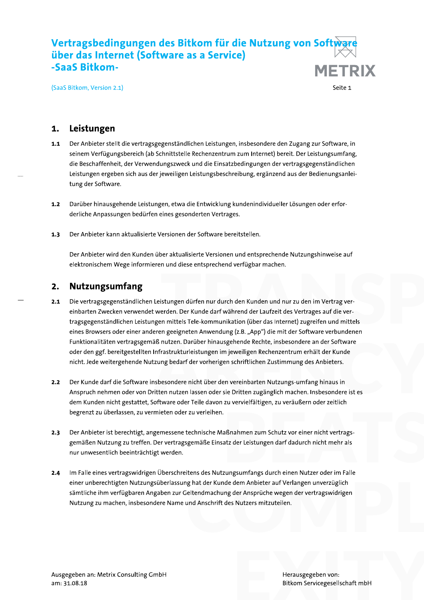# Vertragsbedingungen des Bitkom für die Nutzung von Soft<del>ware</del> über das Internet (Software as a Service) **Vertragsbedingungen des Bitkom für die Nutzung von Software<br>
über das Internet (Software as a Service)<br>
SaaS Bitkom.<br>
SaaS Bitkom, Version 2.1)<br>
Seite 1<br>
1. Leistungen<br>
1.1 Der Anbieter stellt die vertragsgegenständliche**

# 1. Leistungen

- SaaS Bitkom, Version 2.1)<br>
Seite 1<br>
1.1 Leistungen<br>
1.1 Der Anbieter stellt die vertragsgegenständlichen Leistungen, insbesondere den Zugang zur Software, in<br>
seinem Verfügungsbereich (ab Schnittstelle Rechenzentrum zum In
- 
- 

# 2. Nutzungsumfang

- er antaanserte versenen and eneppeenende natzangsminnelse aar.<br>In und diese entsprechend verfügbar machen.<br>Istungen dürfen nur durch den Kunden und nur zu den im Vertrag ver-<br>erden. Der Kunde darf während der Laufzeit des eren geeigneten Anwendung (z.B. "App") die mit der Software verbundenen<br>äß nutzen. Darüber hinausgehende Rechte, insbesondere an der Software<br>Infrastrukturleistungen im jeweiligen Rechenzentrum erhält der Kunde<br>tzung bedar 2.1 Die vertragsgegenständlichen Leistungen dürfen nur durch den Kunden und nur zu den im Vertrag vereinbarten Zwecken verwendet werden. Der Kunde darf während der Laufzeit des Vertrages auf die vertragsgegenständlichen Leistungen mittels Tele-kommunikation (über das Internet) zugreifen und mittels **2.1 Die vertragsgegenständlichen Leistungen dürfen nur durch den Kunden und nur zu den im Vertrag ver-<br>
einbarten Zwecken verwendet werden. Der Kunde darf während der Laufzeit des Vertrages auf die ver-<br>
tragsgegenständli**
- Funktionalitäten verträgsgemäß nutzen. Däruber hinausgehende kechte, insbesondere an der Sottware<br>oder den ggf. bereitgestellten Infrastrukturleistungen im jeweiligen Rechenzentrum erhält der Kunde<br>nicht. Jede weitergehend
- zu vervielfältigen, zu veräußern oder zeitlich<br>aßnahmen zum Schutz vor einer nicht vertrags-<br>atz der Leistungen darf dadurch nicht mehr als
- itens des Nutzungsumfangs durch einen Nutzer oder im Falle<br>g hat der Kunde dem Anbieter auf Verlangen unverzüglich<br>eltendmachung der Ansprüche wegen der vertragswidrigen<br>und Anschrift des Nutzers mitzuteilen. 2.4 Im Falle eines vertragswidrigen Überschreitens des Nutzungsumfangs durch einen Nutzer oder im Falle einer unberechtigten Nutzungsüberlassung hat der Kunde dem Anbieter auf Verlangen unverzüglich gemaßen Nutzung zu treften. Der vertragsgemaße Einsatz der Leistungen darf dadurch nicht mehr als<br>nur unwesentlich beeinträchtigt werden.<br>2.4 Im Falle eines vertragswidrigen Überschreitens des Nutzungsumfangs durch ein

Herausgegeben von:<br>Bitkom Servicegesellschaft mbH Bitkom Servicegesellschaft mbH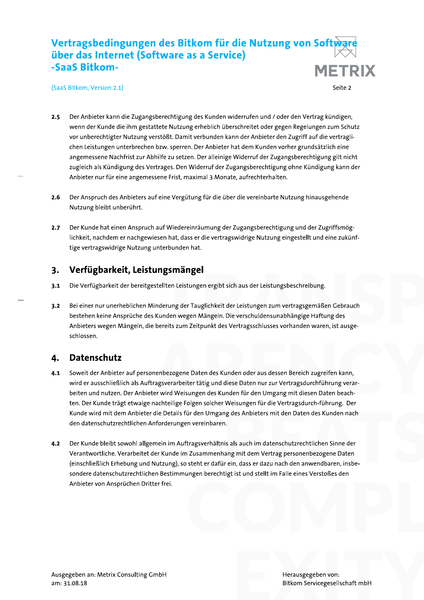### Vertragsbedingungen des Bitkom für die Nutzung von Softwar über das Internet (Software as a Service) -SaaS Bitkom-**METRIX**

(SaaS Bitkom, Version 2.1)

Seite 2

- Der Anbieter kann die Zugangsberechtigung des Kunden widerrufen und / oder den Vertrag kündigen,  $2.5$ wenn der Kunde die ihm gestattete Nutzung erheblich überschreitet oder gegen Regelungen zum Schutz vor unberechtigter Nutzung verstößt. Damit verbunden kann der Anbieter den Zugriff auf die vertraglichen Leistungen unterbrechen bzw. sperren. Der Anbieter hat dem Kunden vorher grundsätzlich eine angemessene Nachfrist zur Abhilfe zu setzen. Der alleinige Widerruf der Zugangsberechtigung gilt nicht zugleich als Kündigung des Vertrages. Den Widerruf der Zugangsberechtigung ohne Kündigung kann der Anbieter nur für eine angemessene Frist, maximal 3 Monate, aufrechterhalten.
- $2.6$ Der Anspruch des Anbieters auf eine Vergütung für die über die vereinbarte Nutzung hinausgehende Nutzung bleibt unberührt.
- Der Kunde hat einen Anspruch auf Wiedereinräumung der Zugangsberechtigung und der Zugriffsmög- $2.7$ lichkeit, nachdem er nachgewiesen hat, dass er die vertragswidrige Nutzung eingestellt und eine zukünftige vertragswidrige Nutzung unterbunden hat.

### $3.$ Verfügbarkeit, Leistungsmängel

 $3.1$ Die Verfügbarkeit der bereitgestellten Leistungen ergibt sich aus der Leistungsbeschreibung.

Bei einer nur unerheblichen Minderung der Tauglichkeit der Leistungen zum vertragsgemäßen Gebrauch  $3.2$ bestehen keine Ansprüche des Kunden wegen Mängeln. Die verschuldensunabhängige Haftung des Anbieters wegen Mängeln, die bereits zum Zeitpunkt des Vertragsschlusses vorhanden waren, ist ausgeschlossen.

### **Datenschutz** 4.

- Soweit der Anbieter auf personenbezogene Daten des Kunden oder aus dessen Bereich zugreifen kann,  $4.1$ wird er ausschließlich als Auftragsverarbeiter tätig und diese Daten nur zur Vertragsdurchführung verarbeiten und nutzen. Der Anbieter wird Weisungen des Kunden für den Umgang mit diesen Daten beachten. Der Kunde trägt etwaige nachteilige Folgen solcher Weisungen für die Vertragsdurch-führung. Der Kunde wird mit dem Anbieter die Details für den Umgang des Anbieters mit den Daten des Kunden nach den datenschutzrechtlichen Anforderungen vereinbaren.
- Der Kunde bleibt sowohl allgemein im Auftragsverhältnis als auch im datenschutzrechtlichen Sinne der  $4.2$ Verantwortliche. Verarbeitet der Kunde im Zusammenhang mit dem Vertrag personenbezogene Daten (einschließlich Erhebung und Nutzung), so steht er dafür ein, dass er dazu nach den anwendbaren, insbesondere datenschutzrechtlichen Bestimmungen berechtigt ist und stellt im Falle eines Verstoßes den Anbieter von Ansprüchen Dritter frei.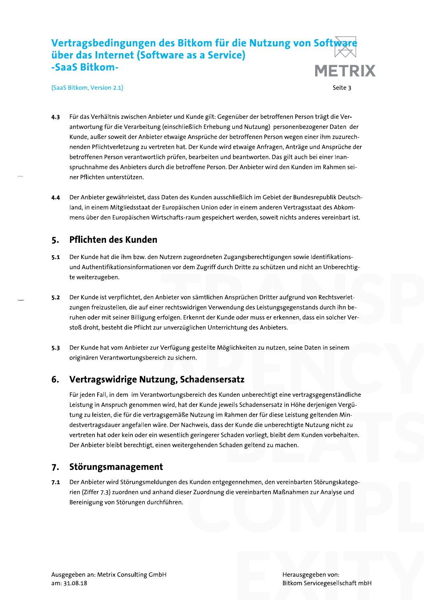# $\mathbf{r}$ Vertragsbedingungen des Bitkom für die Nutzung von Soft<del>ware</del> uber das internet (Software as a Service)

- Vertragsbedingungen des Bitkom für die Nutzung von Software<br>
über das Internet (Software as a Service)<br>
SaaS Bitkom.<br>
SaaS Bitkom.<br>
(SaaS Bitkom, Version 2.1)<br>
4.3 Für das Verhältnis zwischen Anbieter und Kunde gilt: Gegen Gaas Bitkom, Version 2.1)<br>
5 Fire das Verhältnis zwischen Anbieter und Kunde gilt. Gegenüber der betroffenen Person trägt die Ver-<br>
antwortung für die Verarbeitung (einschließlich Erhebung und Nutzung) personenbezogener Da
	-

# 5. Pflichten des Kunden

- 5.1 Der Kunde hat die ihm bzw. den Nutzern zugeordneten Zugangsberechtigungen sowie Identifikationsund Authentifikationsinformationen vor dem Zugriff durch Dritte zu schützen und nicht an Unberechtig-
- Nutzern zugeoraneten Zugangsberechtigungen sowie identifikations-<br>nen vor dem Zugriff durch Dritte zu schützen und nicht an Unberechtig-<br>hbieter von sämtlichen Ansprüchen Dritter aufgrund von Rechtsverlet-<br>r rechtswidrigen 5. Pflichten des Kunden<br>
5.1 Der Kunde hat die ihm bzw. den Nutzern zugeordneten Zugangsberechtigungen sowie Identifikations-<br>
und Authentifikationsinformationen vor dem Zugriff durch Dritte zu schützen und nicht an Unbere
	- zur unverzüglichen Unterrichtung des Anbieters.<br>ur Verfügung gestellte Möglichkeiten zu nutzen, seine Daten in seinem<br>reich zu sichern.<br>tzung, Schadensersatz

# ertragswidrige Nutzung, Schade

unden unberechtigt eine vertragsgegenstantinier<br>weils Schadensersatz in Höhe derjenigen Vergü-<br>Rahmen der für diese Leistung geltenden Min-<br>der Kunde die unberechtigte Nutzung nicht zu<br>chaden vorliegt, bleibt dem Kunden vo 5.3 Der Kunde hat vom Anbieter zur Verfügung gestellte Möglichkeiten zu nutzen, seine Daten in seinem<br>originären Verantwortungsbereich zu sichern.<br>6. **Vertragswidrige Nutzung, Schadensersatz**<br>Für jeden Fall, in dem im Vera 5.3 Der Kunde hat vom Anbieter zur Verfügung gestellte Möglichkeiten zu nutzen, seine Daten in seinem<br>
originären Veranttwortungsbereich zu sichern.<br>
5. Vertragswidrige Nutzung, Schadensersatz<br>
Für jeden Fall, in dem im V

s Kunden entgegennehmen, den vereinbarten Störungskatego-<br>er Zuordnung die vereinbarten Maßnahmen zur Analyse und<br>Die Vereinbarten Maßnahmen zur Analyse und Machael († 1918)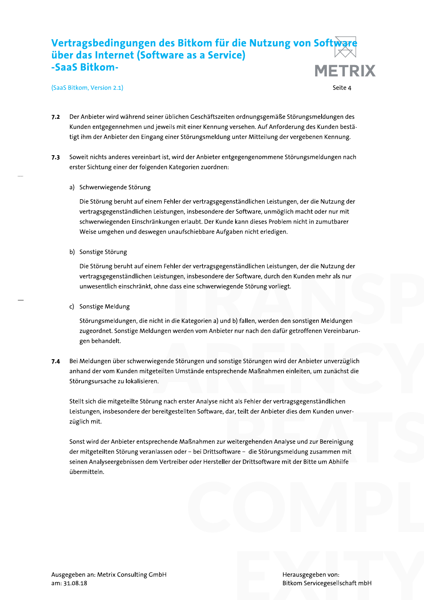### Vertragsbedingungen des Bitkom für die Nutzung von Softwa über das Internet (Software as a Service) -SaaS Bitkom-**METRIX**

(SaaS Bitkom, Version 2.1)

Seite 4

- Der Anbieter wird während seiner üblichen Geschäftszeiten ordnungsgemäße Störungsmeldungen des  $7.2$ Kunden entgegennehmen und jeweils mit einer Kennung versehen. Auf Anforderung des Kunden bestätigt ihm der Anbieter den Eingang einer Störungsmeldung unter Mitteilung der vergebenen Kennung.
- $7.3$ Soweit nichts anderes vereinbart ist, wird der Anbieter entgegengenommene Störungsmeldungen nach erster Sichtung einer der folgenden Kategorien zuordnen:
	- a) Schwerwiegende Störung

Die Störung beruht auf einem Fehler der vertragsgegenständlichen Leistungen, der die Nutzung der vertragsgegenständlichen Leistungen, insbesondere der Software, unmöglich macht oder nur mit schwerwiegenden Einschränkungen erlaubt. Der Kunde kann dieses Problem nicht in zumutbarer Weise umgehen und deswegen unaufschiebbare Aufgaben nicht erledigen.

b) Sonstige Störung

Die Störung beruht auf einem Fehler der vertragsgegenständlichen Leistungen, der die Nutzung der vertragsgegenständlichen Leistungen, insbesondere der Software, durch den Kunden mehr als nur unwesentlich einschränkt, ohne dass eine schwerwiegende Störung vorliegt.

c) Sonstige Meldung

Störungsmeldungen, die nicht in die Kategorien a) und b) fallen, werden den sonstigen Meldungen zugeordnet. Sonstige Meldungen werden vom Anbieter nur nach den dafür getroffenen Vereinbarungen behandelt.

Bei Meldungen über schwerwiegende Störungen und sonstige Störungen wird der Anbieter unverzüglich  $7.4$ anhand der vom Kunden mitgeteilten Umstände entsprechende Maßnahmen einleiten, um zunächst die Störungsursache zu lokalisieren.

Stellt sich die mitgeteilte Störung nach erster Analyse nicht als Fehler der vertragsgegenständlichen Leistungen, insbesondere der bereitgestellten Software, dar, teilt der Anbieter dies dem Kunden unverzüglich mit.

Sonst wird der Anbieter entsprechende Maßnahmen zur weitergehenden Analyse und zur Bereinigung der mitgeteilten Störung veranlassen oder - bei Drittsoftware - die Störungsmeldung zusammen mit seinen Analyseergebnissen dem Vertreiber oder Hersteller der Drittsoftware mit der Bitte um Abhilfe übermitteln.

Herausgegeben von: Bitkom Servicegesellschaft mbH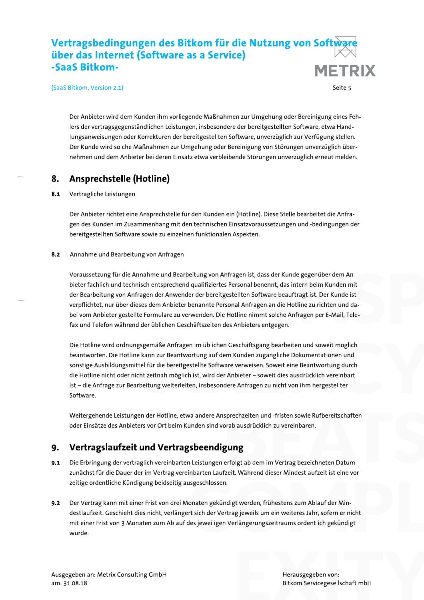# $\mathbf{r}$ Vertragsbedingungen des Bitkom für die Nutzung von Soft<del>ware</del> uber das internet (Software as a Service) **Vertragsbedingungen des Bitkom für die Nutzung von Software<br>
über das Internet (Software as a Service)<br>
SaaS Bitkom.<br>
SaaS Bitkom.<br>
Seite 5<br>
Der Anbieter wird dem Kunden ihm vorliegende Maßnahmen zur Umgehung oder Berein**

-5283 Bitkom, Version 2.1)<br>
Seite 5<br>
Der Anbieter wird dem Kunden ihm vorliegende Maßnahmen zur Umgehung oder Bereinigung eines Fehlers der vertragsgegenständlichen Leistungen, insbesondere der bereitgestellten Software, e

Der Anbieter richtet eine Ansprechstelle für den Kunden ein (Hotline). Diese Stelle bearbeitet die Anfragen des Kunden im Zusammenhang mit den technischen Einsatzvoraussetzungen und -bedingungen der bereitgestellten Software sowie zu einzelnen funktionalen Aspekten.

und Bearbeitung von Anfragen ist, dass der Kunde gegenüber dem Ansprechend qualifiziertes Personal benennt, das intern beim Kunden mit<br>Fr Anwender der bereitgestellten Software beauftragt ist. Der Kunde ist<br>Anbieter benann Der Anbieter richtet eine Ansprechstelle für den Kunden ein (Hotline). Diese Stelle bearbeitet die Anfragen<br>Stad des Kunden im Zusammenhang mit den technischen Einsatzvoraussetzungen und -bedingungen der<br>bereitgestellten S 8.2 Annahme und Bearbeitung von Anfragen<br>
Voraussetzung für die Annahme und Bearbeitung von Anfragen ist, dass der Kunde gegenüber dem An-<br>
bieter fachlich und technisch entsprechend qualifiziertes Personal benennt, das in s.<br>
28. Annahme und learbeitung von Anfragen<br>
Voraussetzung für die Annahme und Bearbeitung von Anfragen ist, dass der Kunde gegenüber dem An-<br>
bieter fachilich und eknhisch entsprechend qualifizietes Personal benennt, das

näße Anfragen im üblichen Geschäftsgang bearbeiten und soweit möglich<br>n zur Beantwortung auf dem Kunden zugängliche Dokumentationen und<br>r die bereitgestellte Software verweisen. Soweit eine Beantwortung durch<br>itnah möglich

sprechzeiten und -fristen sowie Rufbereitschaften<br>orab ausdrücklich zu vereinbaren.<br>**BUNB**<br>erfolgt ab dem im Vertrag bezeichneten Datum

# ertragslaufzeit und Vertragsbeendigung

- 9.1 Die Erbringung der vertraglich vereinbarten Leistungen erfolgt ab dem im Vertrag bezeichneten Datum zunächst für die Dauer der im Vertrag vereinbarten Laufzeit. Während dieser Mindestlaufzeit ist eine vor-
- ersetzigen errorge de dem im Ferrug Bezetenmeten Batan:<br>inbarten Laufzeit. Während dieser Mindestlaufzeit ist eine vor-<br>usgeschlossen.<br>lonaten gekündigt werden, frühestens zum Ablauf der Min-<br>ert sich der Vertrag jeweils u 9. Vertragslaufzeit und Vertragsbeendigung<br>
9.1 Die Erbringung der vertraglich vereinbarten Leistungen erfolgt ab dem im Vertrag bezeichneten Datum<br>
zunächst für die Dauer der im Vertrag vereinbarten Laufzeit. Während dies

Herausgegeben von:<br>Bitkom Servicegesellschaft mbH